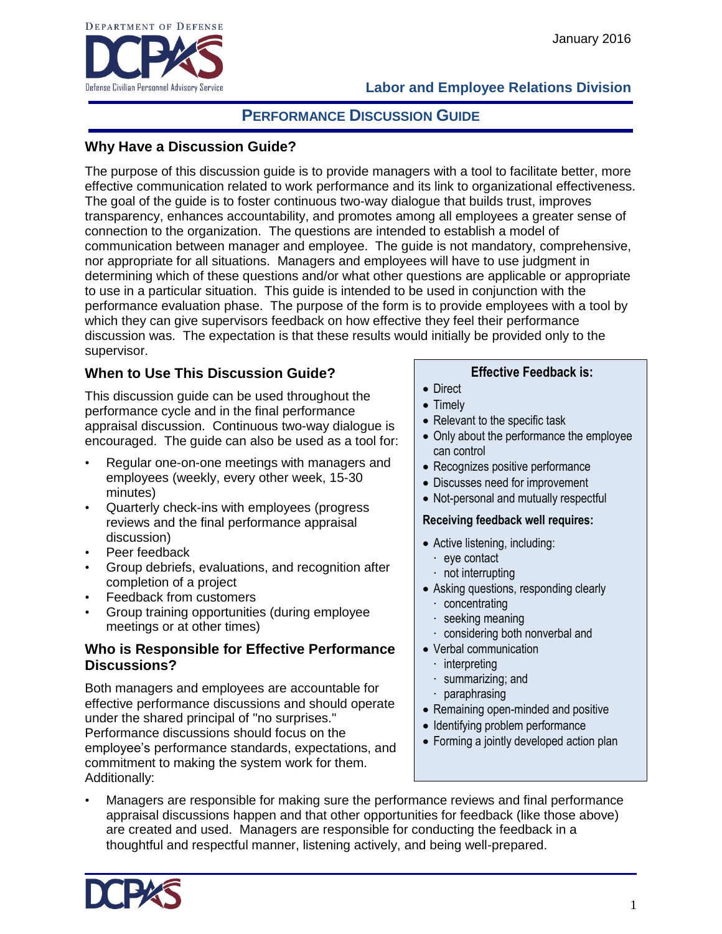

# **PERFORMANCE DISCUSSION GUIDE**

### **Why Have a Discussion Guide?**

The purpose of this discussion guide is to provide managers with a tool to facilitate better, more effective communication related to work performance and its link to organizational effectiveness. The goal of the guide is to foster continuous two-way dialogue that builds trust, improves transparency, enhances accountability, and promotes among all employees a greater sense of connection to the organization. The questions are intended to establish a model of communication between manager and employee. The guide is not mandatory, comprehensive, nor appropriate for all situations. Managers and employees will have to use judgment in determining which of these questions and/or what other questions are applicable or appropriate to use in a particular situation. This guide is intended to be used in conjunction with the performance evaluation phase. The purpose of the form is to provide employees with a tool by which they can give supervisors feedback on how effective they feel their performance discussion was. The expectation is that these results would initially be provided only to the supervisor.

## **When to Use This Discussion Guide?**

This discussion guide can be used throughout the performance cycle and in the final performance appraisal discussion. Continuous two-way dialogue is encouraged. The guide can also be used as a tool for:

- Regular one-on-one meetings with managers and employees (weekly, every other week, 15-30 minutes)
- Quarterly check-ins with employees (progress reviews and the final performance appraisal discussion)
- Peer feedback
- Group debriefs, evaluations, and recognition after completion of a project
- Feedback from customers
- Group training opportunities (during employee meetings or at other times)

#### **Who is Responsible for Effective Performance Discussions?**

Both managers and employees are accountable for effective performance discussions and should operate under the shared principal of "no surprises." Performance discussions should focus on the employee's performance standards, expectations, and commitment to making the system work for them. Additionally:

#### **Effective Feedback is:**

- Direct
- Timely
- Relevant to the specific task
- Only about the performance the employee can control
- Recognizes positive performance
- Discusses need for improvement
- Not-personal and mutually respectful

#### **Receiving feedback well requires:**

- Active listening, including:
	- · eye contact
	- not interrupting
- Asking questions, responding clearly
	- · concentrating
	- · seeking meaning
	- considering both nonverbal and
- Verbal communication
	- · interpreting
	- · summarizing; and
	- · paraphrasing
- Remaining open-minded and positive
- Identifying problem performance
- Forming a jointly developed action plan
- Managers are responsible for making sure the performance reviews and final performance appraisal discussions happen and that other opportunities for feedback (like those above) are created and used. Managers are responsible for conducting the feedback in a thoughtful and respectful manner, listening actively, and being well-prepared.

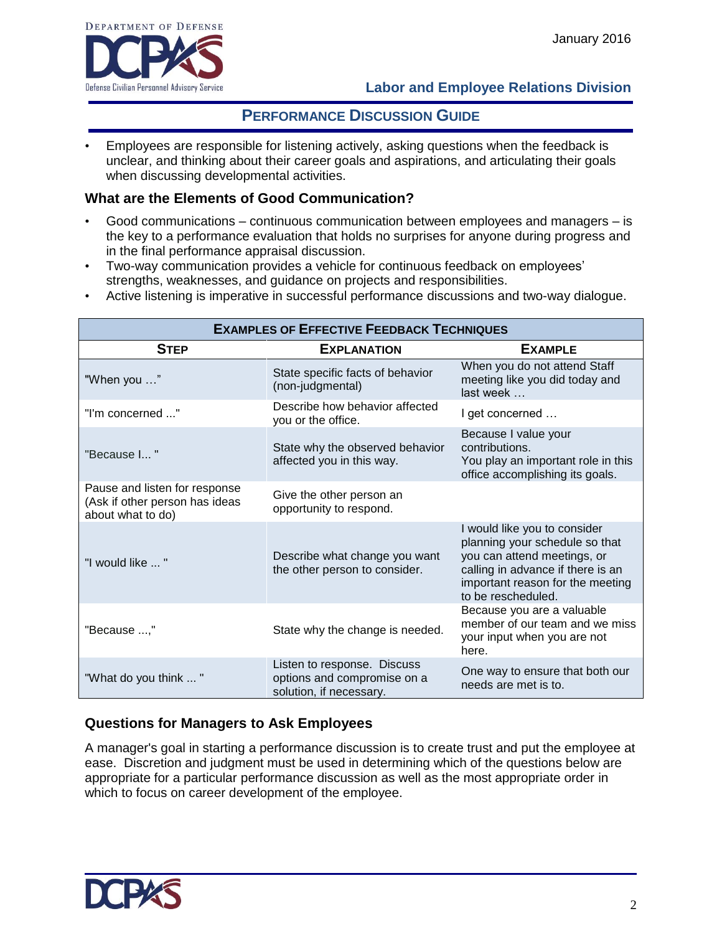

## **PERFORMANCE DISCUSSION GUIDE**

• Employees are responsible for listening actively, asking questions when the feedback is unclear, and thinking about their career goals and aspirations, and articulating their goals when discussing developmental activities.

#### **What are the Elements of Good Communication?**

- Good communications continuous communication between employees and managers is the key to a performance evaluation that holds no surprises for anyone during progress and in the final performance appraisal discussion.
- Two-way communication provides a vehicle for continuous feedback on employees' strengths, weaknesses, and guidance on projects and responsibilities.
- Active listening is imperative in successful performance discussions and two-way dialogue.

| <b>EXAMPLES OF EFFECTIVE FEEDBACK TECHNIQUES</b>                                     |                                                                                       |                                                                                                                                                                                              |  |
|--------------------------------------------------------------------------------------|---------------------------------------------------------------------------------------|----------------------------------------------------------------------------------------------------------------------------------------------------------------------------------------------|--|
| <b>STEP</b>                                                                          | <b>EXPLANATION</b>                                                                    | <b>EXAMPLE</b>                                                                                                                                                                               |  |
| "When you "                                                                          | State specific facts of behavior<br>(non-judgmental)                                  | When you do not attend Staff<br>meeting like you did today and<br>last week                                                                                                                  |  |
| "I'm concerned "                                                                     | Describe how behavior affected<br>you or the office.                                  | I get concerned                                                                                                                                                                              |  |
| "Because I"                                                                          | State why the observed behavior<br>affected you in this way.                          | Because I value your<br>contributions.<br>You play an important role in this<br>office accomplishing its goals.                                                                              |  |
| Pause and listen for response<br>(Ask if other person has ideas<br>about what to do) | Give the other person an<br>opportunity to respond.                                   |                                                                                                                                                                                              |  |
| "I would like  "                                                                     | Describe what change you want<br>the other person to consider.                        | I would like you to consider<br>planning your schedule so that<br>you can attend meetings, or<br>calling in advance if there is an<br>important reason for the meeting<br>to be rescheduled. |  |
| "Because ,"                                                                          | State why the change is needed.                                                       | Because you are a valuable<br>member of our team and we miss<br>your input when you are not<br>here.                                                                                         |  |
| "What do you think "                                                                 | Listen to response. Discuss<br>options and compromise on a<br>solution, if necessary. | One way to ensure that both our<br>needs are met is to.                                                                                                                                      |  |

#### **Questions for Managers to Ask Employees**

A manager's goal in starting a performance discussion is to create trust and put the employee at ease. Discretion and judgment must be used in determining which of the questions below are appropriate for a particular performance discussion as well as the most appropriate order in which to focus on career development of the employee.

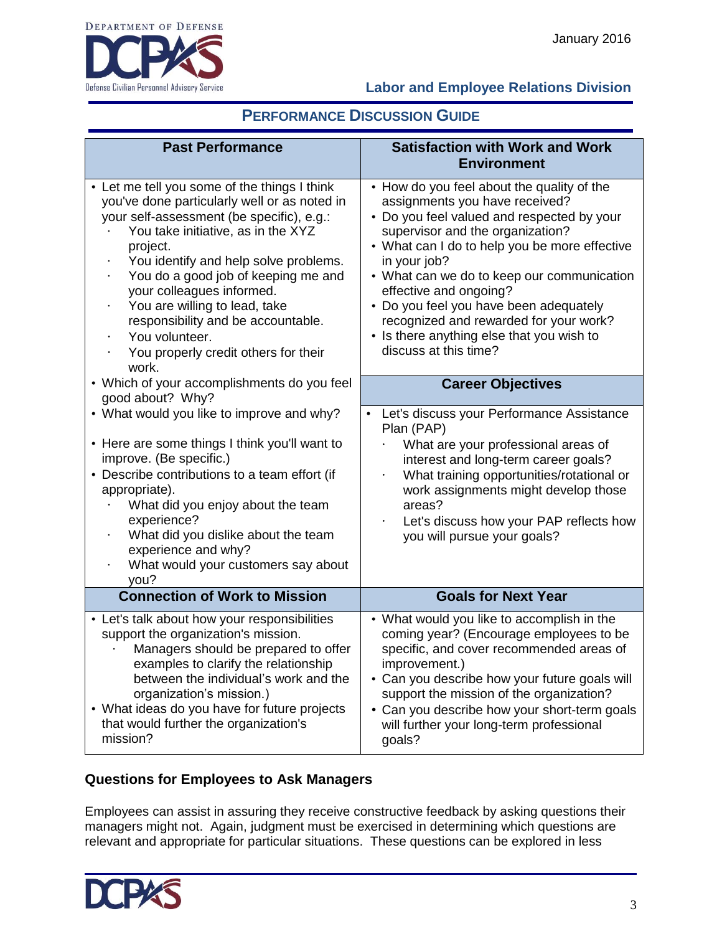

# **PERFORMANCE DISCUSSION GUIDE**

| <b>Past Performance</b>                                                                                                                                                                                                                                                                                                                                                                                                                                                                      | <b>Satisfaction with Work and Work</b><br><b>Environment</b>                                                                                                                                                                                                                                                                                                                                                                                                      |
|----------------------------------------------------------------------------------------------------------------------------------------------------------------------------------------------------------------------------------------------------------------------------------------------------------------------------------------------------------------------------------------------------------------------------------------------------------------------------------------------|-------------------------------------------------------------------------------------------------------------------------------------------------------------------------------------------------------------------------------------------------------------------------------------------------------------------------------------------------------------------------------------------------------------------------------------------------------------------|
| • Let me tell you some of the things I think<br>you've done particularly well or as noted in<br>your self-assessment (be specific), e.g.:<br>You take initiative, as in the XYZ<br>project.<br>You identify and help solve problems.<br>$\blacksquare$<br>You do a good job of keeping me and<br>$\ddot{\phantom{0}}$<br>your colleagues informed.<br>You are willing to lead, take<br>responsibility and be accountable.<br>You volunteer.<br>You properly credit others for their<br>work. | • How do you feel about the quality of the<br>assignments you have received?<br>• Do you feel valued and respected by your<br>supervisor and the organization?<br>• What can I do to help you be more effective<br>in your job?<br>• What can we do to keep our communication<br>effective and ongoing?<br>• Do you feel you have been adequately<br>recognized and rewarded for your work?<br>• Is there anything else that you wish to<br>discuss at this time? |
| • Which of your accomplishments do you feel<br>good about? Why?                                                                                                                                                                                                                                                                                                                                                                                                                              | <b>Career Objectives</b>                                                                                                                                                                                                                                                                                                                                                                                                                                          |
| • What would you like to improve and why?<br>• Here are some things I think you'll want to<br>improve. (Be specific.)<br>• Describe contributions to a team effort (if<br>appropriate).<br>What did you enjoy about the team<br>experience?<br>What did you dislike about the team<br>experience and why?<br>What would your customers say about<br>you?                                                                                                                                     | Let's discuss your Performance Assistance<br>Plan (PAP)<br>What are your professional areas of<br>interest and long-term career goals?<br>What training opportunities/rotational or<br>$\ddot{\phantom{0}}$<br>work assignments might develop those<br>areas?<br>Let's discuss how your PAP reflects how<br>you will pursue your goals?                                                                                                                           |
| <b>Connection of Work to Mission</b>                                                                                                                                                                                                                                                                                                                                                                                                                                                         | <b>Goals for Next Year</b>                                                                                                                                                                                                                                                                                                                                                                                                                                        |
| • Let's talk about how your responsibilities<br>support the organization's mission.<br>Managers should be prepared to offer<br>examples to clarify the relationship<br>between the individual's work and the<br>organization's mission.)<br>• What ideas do you have for future projects<br>that would further the organization's<br>mission?                                                                                                                                                | • What would you like to accomplish in the<br>coming year? (Encourage employees to be<br>specific, and cover recommended areas of<br>improvement.)<br>• Can you describe how your future goals will<br>support the mission of the organization?<br>• Can you describe how your short-term goals<br>will further your long-term professional<br>goals?                                                                                                             |

### **Questions for Employees to Ask Managers**

Employees can assist in assuring they receive constructive feedback by asking questions their managers might not. Again, judgment must be exercised in determining which questions are relevant and appropriate for particular situations. These questions can be explored in less